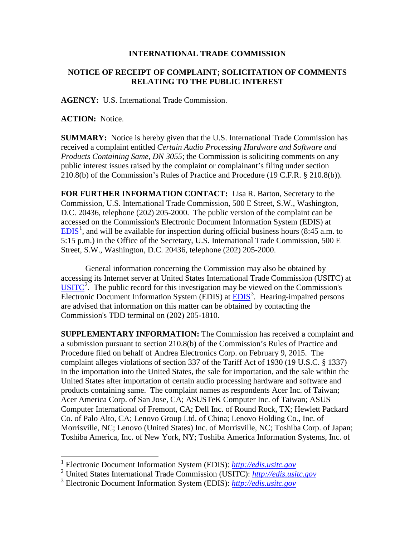## **INTERNATIONAL TRADE COMMISSION**

## **NOTICE OF RECEIPT OF COMPLAINT; SOLICITATION OF COMMENTS RELATING TO THE PUBLIC INTEREST**

**AGENCY:** U.S. International Trade Commission.

**ACTION:** Notice.

 $\overline{a}$ 

**SUMMARY:** Notice is hereby given that the U.S. International Trade Commission has received a complaint entitled *Certain Audio Processing Hardware and Software and Products Containing Same, DN 3055*; the Commission is soliciting comments on any public interest issues raised by the complaint or complainant's filing under section 210.8(b) of the Commission's Rules of Practice and Procedure (19 C.F.R. § 210.8(b)).

**FOR FURTHER INFORMATION CONTACT:** Lisa R. Barton, Secretary to the Commission, U.S. International Trade Commission, 500 E Street, S.W., Washington, D.C. 20436, telephone (202) 205-2000. The public version of the complaint can be accessed on the Commission's Electronic Document Information System (EDIS) at  $EDIS<sup>1</sup>$  $EDIS<sup>1</sup>$  $EDIS<sup>1</sup>$  $EDIS<sup>1</sup>$ , and will be available for inspection during official business hours (8:45 a.m. to 5:15 p.m.) in the Office of the Secretary, U.S. International Trade Commission, 500 E Street, S.W., Washington, D.C. 20436, telephone (202) 205-2000.

General information concerning the Commission may also be obtained by accessing its Internet server at United States International Trade Commission (USITC) at  $\overline{USTTC}^2$  $\overline{USTTC}^2$ . The public record for this investigation may be viewed on the Commission's Electronic Document Information System (EDIS) at **EDIS**<sup>[3](#page-0-2)</sup>. Hearing-impaired persons are advised that information on this matter can be obtained by contacting the Commission's TDD terminal on (202) 205-1810.

**SUPPLEMENTARY INFORMATION:** The Commission has received a complaint and a submission pursuant to section 210.8(b) of the Commission's Rules of Practice and Procedure filed on behalf of Andrea Electronics Corp. on February 9, 2015. The complaint alleges violations of section 337 of the Tariff Act of 1930 (19 U.S.C. § 1337) in the importation into the United States, the sale for importation, and the sale within the United States after importation of certain audio processing hardware and software and products containing same. The complaint names as respondents Acer Inc. of Taiwan; Acer America Corp. of San Jose, CA; ASUSTeK Computer Inc. of Taiwan; ASUS Computer International of Fremont, CA; Dell Inc. of Round Rock, TX; Hewlett Packard Co. of Palo Alto, CA; Lenovo Group Ltd. of China; Lenovo Holding Co., Inc. of Morrisville, NC; Lenovo (United States) Inc. of Morrisville, NC; Toshiba Corp. of Japan; Toshiba America, Inc. of New York, NY; Toshiba America Information Systems, Inc. of

<span id="page-0-0"></span><sup>1</sup> Electronic Document Information System (EDIS): *[http://edis.usitc.gov](http://edis.usitc.gov/)*

<span id="page-0-1"></span><sup>2</sup> United States International Trade Commission (USITC): *[http://edis.usitc.gov](http://edis.usitc.gov/)*

<span id="page-0-2"></span><sup>3</sup> Electronic Document Information System (EDIS): *[http://edis.usitc.gov](http://edis.usitc.gov/)*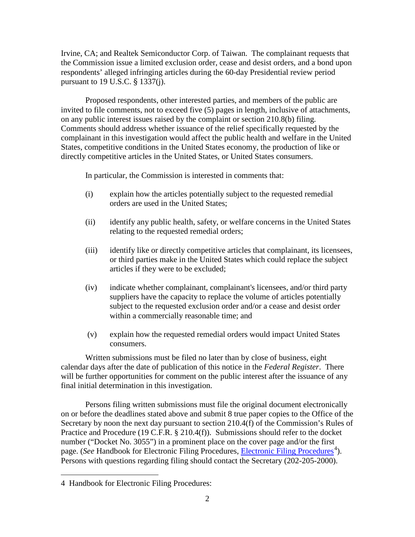Irvine, CA; and Realtek Semiconductor Corp. of Taiwan. The complainant requests that the Commission issue a limited exclusion order, cease and desist orders, and a bond upon respondents' alleged infringing articles during the 60-day Presidential review period pursuant to 19 U.S.C. § 1337(j).

Proposed respondents, other interested parties, and members of the public are invited to file comments, not to exceed five (5) pages in length, inclusive of attachments, on any public interest issues raised by the complaint or section 210.8(b) filing. Comments should address whether issuance of the relief specifically requested by the complainant in this investigation would affect the public health and welfare in the United States, competitive conditions in the United States economy, the production of like or directly competitive articles in the United States, or United States consumers.

In particular, the Commission is interested in comments that:

- (i) explain how the articles potentially subject to the requested remedial orders are used in the United States;
- (ii) identify any public health, safety, or welfare concerns in the United States relating to the requested remedial orders;
- (iii) identify like or directly competitive articles that complainant, its licensees, or third parties make in the United States which could replace the subject articles if they were to be excluded;
- (iv) indicate whether complainant, complainant's licensees, and/or third party suppliers have the capacity to replace the volume of articles potentially subject to the requested exclusion order and/or a cease and desist order within a commercially reasonable time; and
- (v) explain how the requested remedial orders would impact United States consumers.

Written submissions must be filed no later than by close of business, eight calendar days after the date of publication of this notice in the *Federal Register*. There will be further opportunities for comment on the public interest after the issuance of any final initial determination in this investigation.

Persons filing written submissions must file the original document electronically on or before the deadlines stated above and submit 8 true paper copies to the Office of the Secretary by noon the next day pursuant to section 210.4(f) of the Commission's Rules of Practice and Procedure (19 C.F.R. § 210.4(f)). Submissions should refer to the docket number ("Docket No. 3055") in a prominent place on the cover page and/or the first page. (*See* Handbook for [Electronic Filing Procedures](http://www.usitc.gov/secretary/fed_reg_notices/rules/handbook_on_electronic_filing.pdf), *Electronic Filing Procedures*<sup>[4](#page-1-0)</sup>). Persons with questions regarding filing should contact the Secretary (202-205-2000).

 $\overline{a}$ 

<span id="page-1-0"></span><sup>4</sup> Handbook for Electronic Filing Procedures: